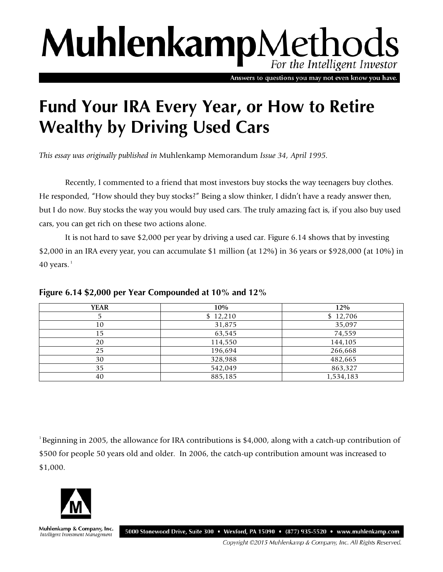# MuhlenkampMethods For the Intelligent Investor

Answers to questions you may not even know you have.

# **Fund Your IRA Every Year, or How to Retire Wealthy by Driving Used Cars**

*This essay was originally published in* Muhlenkamp Memorandum *Issue 34, April 1995.* 

Recently, I commented to a friend that most investors buy stocks the way teenagers buy clothes. He responded, "How should they buy stocks?" Being a slow thinker, I didn't have a ready answer then, but I do now. Buy stocks the way you would buy used cars. The truly amazing fact is, if you also buy used cars, you can get rich on these two actions alone.

It is not hard to save \$2,000 per year by driving a used car. Figure 6.14 shows that by investing \$2,000 in an IRA every year, you can accumulate \$1 million (at 12%) in 36 years or \$928,000 (at 10%) in 40 years. $1$ 

| <b>YEAR</b> | 10%      | 12%       |
|-------------|----------|-----------|
|             | \$12,210 | \$12,706  |
| 10          | 31,875   | 35,097    |
| 15          | 63,545   | 74,559    |
| 20          | 114,550  | 144,105   |
| 25          | 196,694  | 266,668   |
| 30          | 328,988  | 482,665   |
| 35          | 542,049  | 863,327   |
| 40          | 885,185  | 1,534,183 |

## **Figure 6.14 \$2,000 per Year Compounded at 10% and 12%**

1 Beginning in 2005, the allowance for IRA contributions is \$4,000, along with a catch-up contribution of \$500 for people 50 years old and older. In 2006, the catch-up contribution amount was increased to \$1,000.



Muhlenkamp & Company, Inc. Intelligent Investment Management

5000 Stonewood Drive, Suite 300 • Wexford, PA 15090 • (877) 935-5520 • www.muhlenkamp.com

Copyright ©2015 Muhlenkamp & Company, Inc. All Rights Reserved.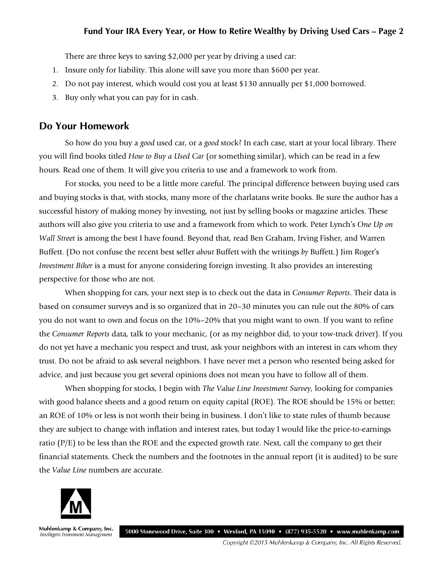#### **Fund Your IRA Every Year, or How to Retire Wealthy by Driving Used Cars – Page 2**

There are three keys to saving \$2,000 per year by driving a used car:

- 1. Insure only for liability. This alone will save you more than \$600 per year.
- 2. Do not pay interest, which would cost you at least \$130 annually per \$1,000 borrowed.
- 3. Buy only what you can pay for in cash.

#### **Do Your Homework**

So how do you buy a *good* used car, or a *good* stock? In each case, start at your local library. There you will find books titled *How to Buy a Used Car* (or something similar), which can be read in a few hours. Read one of them. It will give you criteria to use and a framework to work from.

For stocks, you need to be a little more careful. The principal difference between buying used cars and buying stocks is that, with stocks, many more of the charlatans write books. Be sure the author has a successful history of making money by investing, not just by selling books or magazine articles. These authors will also give you criteria to use and a framework from which to work. Peter Lynch's *One Up on Wall Street* is among the best I have found. Beyond that, read Ben Graham, Irving Fisher, and Warren Buffett. (Do not confuse the recent best seller *about* Buffett with the writings *by* Buffett.) Jim Roger's *Investment Biker* is a must for anyone considering foreign investing. It also provides an interesting perspective for those who are not.

When shopping for cars, your next step is to check out the data in *Consumer Reports*. Their data is based on consumer surveys and is so organized that in 20–30 minutes you can rule out the 80% of cars you do not want to own and focus on the 10%–20% that you might want to own. If you want to refine the *Consumer Reports* data, talk to your mechanic, (or as my neighbor did, to your tow-truck driver). If you do not yet have a mechanic you respect and trust, ask your neighbors with an interest in cars whom they trust. Do not be afraid to ask several neighbors. I have never met a person who resented being asked for advice, and just because you get several opinions does not mean you have to follow all of them.

When shopping for stocks, I begin with *The Value Line Investment Survey*, looking for companies with good balance sheets and a good return on equity capital (ROE). The ROE should be 15% or better; an ROE of 10% or less is not worth their being in business. I don't like to state rules of thumb because they are subject to change with inflation and interest rates, but today I would like the price-to-earnings ratio (P/E) to be less than the ROE and the expected growth rate. Next, call the company to get their financial statements. Check the numbers and the footnotes in the annual report (it is audited) to be sure the *Value Line* numbers are accurate.



Muhlenkamp & Company, Inc. 5000 Stonewood Drive, Suite 300 • Wexford, PA 15090 • (877) 935-5520 • www.muhlenkamp.com Intelligent Investment Management

Copyright ©2015 Muhlenkamp & Company, Inc. All Rights Reserved.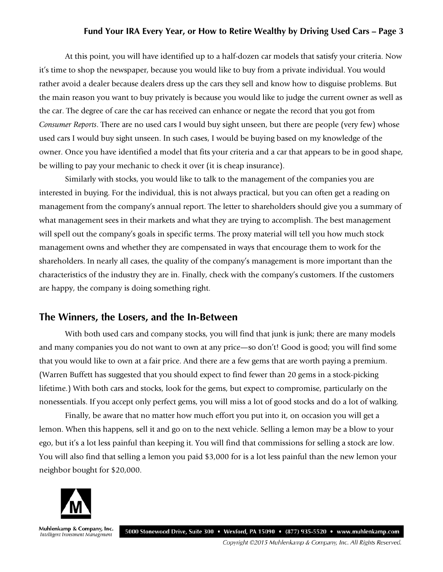#### **Fund Your IRA Every Year, or How to Retire Wealthy by Driving Used Cars – Page 3**

At this point, you will have identified up to a half-dozen car models that satisfy your criteria. Now it's time to shop the newspaper, because you would like to buy from a private individual. You would rather avoid a dealer because dealers dress up the cars they sell and know how to disguise problems. But the main reason you want to buy privately is because you would like to judge the current owner as well as the car. The degree of care the car has received can enhance or negate the record that you got from *Consumer Reports*. There are no used cars I would buy sight unseen, but there are people (very few) whose used cars I would buy sight unseen. In such cases, I would be buying based on my knowledge of the owner. Once you have identified a model that fits your criteria and a car that appears to be in good shape, be willing to pay your mechanic to check it over (it is cheap insurance).

Similarly with stocks, you would like to talk to the management of the companies you are interested in buying. For the individual, this is not always practical, but you can often get a reading on management from the company's annual report. The letter to shareholders should give you a summary of what management sees in their markets and what they are trying to accomplish. The best management will spell out the company's goals in specific terms. The proxy material will tell you how much stock management owns and whether they are compensated in ways that encourage them to work for the shareholders. In nearly all cases, the quality of the company's management is more important than the characteristics of the industry they are in. Finally, check with the company's customers. If the customers are happy, the company is doing something right.

# **The Winners, the Losers, and the In-Between**

With both used cars and company stocks, you will find that junk is junk; there are many models and many companies you do not want to own at any price—so don't! Good is good; you will find some that you would like to own at a fair price. And there are a few gems that are worth paying a premium. (Warren Buffett has suggested that you should expect to find fewer than 20 gems in a stock-picking lifetime.) With both cars and stocks, look for the gems, but expect to compromise, particularly on the nonessentials. If you accept only perfect gems, you will miss a lot of good stocks and do a lot of walking.

Finally, be aware that no matter how much effort you put into it, on occasion you will get a lemon. When this happens, sell it and go on to the next vehicle. Selling a lemon may be a blow to your ego, but it's a lot less painful than keeping it. You will find that commissions for selling a stock are low. You will also find that selling a lemon you paid \$3,000 for is a lot less painful than the new lemon your neighbor bought for \$20,000.



Muhlenkamp & Company, Inc. Intelligent Investment Management